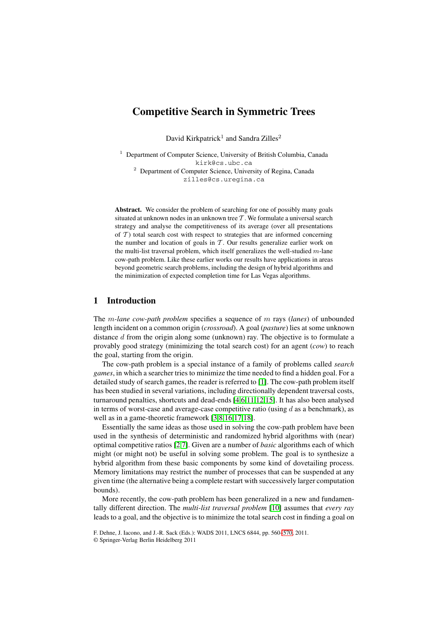# **Competitive Search in Symmetric Trees**

David Kirkpatrick<sup>1</sup> and Sandra Zilles<sup>2</sup>

 $1$  Department of Computer Science, University of British Columbia, Canada kirk@cs.ubc.ca <sup>2</sup> Department of Computer Science, University of Regina, Canada zilles@cs.uregina.ca

Abstract. We consider the problem of searching for one of possibly many goals situated at unknown nodes in an unknown tree  $\mathcal{T}$ . We formulate a universal search strategy and analyse the competitiveness of its average (over all presentations of  $T$ ) total search cost with respect to strategies that are informed concerning the number and location of goals in  $T$ . Our results generalize earlier work on the multi-list traversal problem, which itself generalizes the well-studied  $m$ -lane cow-path problem. Like these earlier works our results have applications in areas beyond geometric search problems, including the design of hybrid algorithms and the minimization of expected completion time for Las Vegas algorithms.

## **1 Introduction**

The m*-lane cow-path problem* specifies a sequence of m rays (*lanes*) of unbounded length incident on a common origin (*crossroad*). A goal (*pasture*) lies at some unknown distance  $d$  from the origin along some (unknown) ray. The objective is to formulate a provably good strategy (minimizing the total search cost) for an agent (*cow*) to reach the goal, starting from the origin.

The cow-path problem is a special instance of a family of problems called *search games*, in which a searcher tries to minimize the time needed to find a hidden goal. For a detailed study of search games, the reader is referred to [\[1\]](#page-9-1). The cow-path problem itself has been studied in several variations, including directionally dependent traversal costs, turnaround penalties, shortcuts and dead-ends [\[4,](#page-9-2)[6,](#page-9-3)[11,](#page-10-0)[12,](#page-10-1)[15\]](#page-10-2). It has also been analysed in terms of worst-case and average-case competitive ratio (using  $d$  as a benchmark), as well as in a game-theoretic framework [\[3](#page-9-4)[,8](#page-9-5)[,16](#page-10-3)[,17](#page-10-4)[,18\]](#page-10-5).

Essentially the same ideas as those used in solving the cow-path problem have been used in the synthesis of deterministic and randomized hybrid algorithms with (near) optimal competitive ratios [\[2,](#page-9-6)[7\]](#page-9-7). Given are a number of *basic* algorithms each of which might (or might not) be useful in solving some problem. The goal is to synthesize a hybrid algorithm from these basic components by some kind of dovetailing process. Memory limitations may restrict the number of processes that can be suspended at any given time (the alternative being a complete restart with successively larger computation bounds).

More recently, the cow-path problem has been generalized in a new and fundamentally different direction. The *multi-list traversal problem* [\[10\]](#page-10-6) assumes that *every ray* leads to a goal, and the objective is to minimize the total search cost in finding a goal on

F. Dehne, J. Iacono, and J.-R. Sack (Eds.): WADS 2011, LNCS 6844, pp. 560[–570,](#page-9-0) 2011.

<sup>©</sup> Springer-Verlag Berlin Heidelberg 2011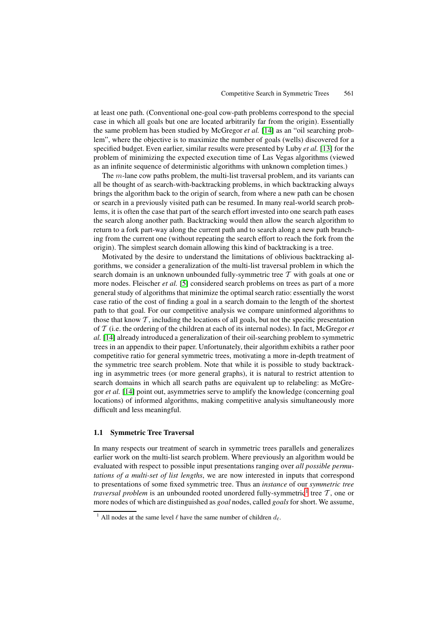at least one path. (Conventional one-goal cow-path problems correspond to the special case in which all goals but one are located arbitrarily far from the origin). Essentially the same problem has been studied by McGregor *et al.* [\[14\]](#page-10-7) as an "oil searching problem", where the objective is to maximize the number of goals (wells) discovered for a specified budget. Even earlier, similar results were presented by Luby *et al.* [\[13\]](#page-10-8) for the problem of minimizing the expected execution time of Las Vegas algorithms (viewed as an infinite sequence of deterministic algorithms with unknown completion times.)

The m-lane cow paths problem, the multi-list traversal problem, and its variants can all be thought of as search-with-backtracking problems, in which backtracking always brings the algorithm back to the origin of search, from where a new path can be chosen or search in a previously visited path can be resumed. In many real-world search problems, it is often the case that part of the search effort invested into one search path eases the search along another path. Backtracking would then allow the search algorithm to return to a fork part-way along the current path and to search along a new path branching from the current one (without repeating the search effort to reach the fork from the origin). The simplest search domain allowing this kind of backtracking is a tree.

Motivated by the desire to understand the limitations of oblivious backtracking algorithms, we consider a generalization of the multi-list traversal problem in which the search domain is an unknown unbounded fully-symmetric tree  $T$  with goals at one or more nodes. Fleischer *et al.* [\[5\]](#page-9-8) considered search problems on trees as part of a more general study of algorithms that minimize the optimal search ratio: essentially the worst case ratio of the cost of finding a goal in a search domain to the length of the shortest path to that goal. For our competitive analysis we compare uninformed algorithms to those that know  $T$ , including the locations of all goals, but not the specific presentation of T (i.e. the ordering of the children at each of its internal nodes). In fact, McGregor *et al.* [\[14\]](#page-10-7) already introduced a generalization of their oil-searching problem to symmetric trees in an appendix to their paper. Unfortunately, their algorithm exhibits a rather poor competitive ratio for general symmetric trees, motivating a more in-depth treatment of the symmetric tree search problem. Note that while it is possible to study backtracking in asymmetric trees (or more general graphs), it is natural to restrict attention to search domains in which all search paths are equivalent up to relabeling: as McGregor *et al.* [\[14\]](#page-10-7) point out, asymmetries serve to amplify the knowledge (concerning goal locations) of informed algorithms, making competitive analysis simultaneously more difficult and less meaningful.

### **1.1 Symmetric Tree Traversal**

In many respects our treatment of search in symmetric trees parallels and generalizes earlier work on the multi-list search problem. Where previously an algorithm would be evaluated with respect to possible input presentations ranging over *all possible permutations of a multi-set of list lengths*, we are now interested in inputs that correspond to presentations of some fixed symmetric tree. Thus an *instance* of our *symmetric tree traversal problem* is an unbounded rooted unordered fully-symmetric<sup>[1](#page-1-0)</sup> tree  $T$ , one or more nodes of which are distinguished as *goal* nodes, called *goals*for short. We assume,

<span id="page-1-0"></span><sup>&</sup>lt;sup>1</sup> All nodes at the same level  $\ell$  have the same number of children  $d_{\ell}$ .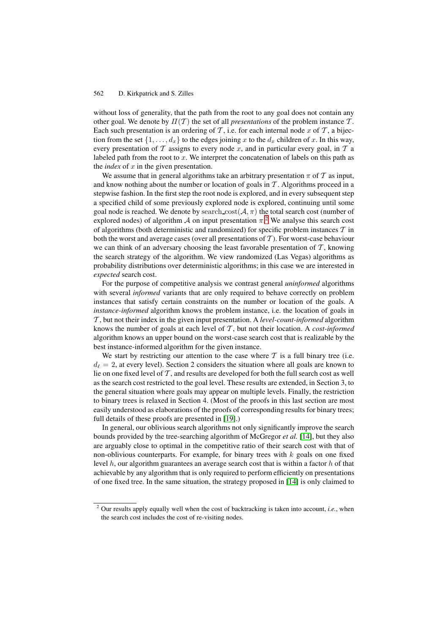without loss of generality, that the path from the root to any goal does not contain any other goal. We denote by  $\Pi(\mathcal{T})$  the set of all *presentations* of the problem instance  $\mathcal{T}$ . Each such presentation is an ordering of T, i.e. for each internal node x of T, a bijection from the set  $\{1, \ldots, d_x\}$  to the edges joining x to the  $d_x$  children of x. In this way, every presentation of  $T$  assigns to every node x, and in particular every goal, in  $T$  a labeled path from the root to  $x$ . We interpret the concatenation of labels on this path as the *index* of  $x$  in the given presentation.

We assume that in general algorithms take an arbitrary presentation  $\pi$  of  $\mathcal T$  as input, and know nothing about the number or location of goals in  $T$ . Algorithms proceed in a stepwise fashion. In the first step the root node is explored, and in every subsequent step a specified child of some previously explored node is explored, continuing until some goal node is reached. We denote by search  $\text{cost}(\mathcal{A}, \pi)$  the total search cost (number of explored nodes) of algorithm  $A$  on input presentation  $\pi$ <sup>[2](#page-2-0)</sup>. We analyse this search cost of algorithms (both deterministic and randomized) for specific problem instances  $\mathcal T$  in both the worst and average cases (over all presentations of  $T$ ). For worst-case behaviour we can think of an adversary choosing the least favorable presentation of  $T$ , knowing the search strategy of the algorithm. We view randomized (Las Vegas) algorithms as probability distributions over deterministic algorithms; in this case we are interested in *expected* search cost.

For the purpose of competitive analysis we contrast general *uninformed* algorithms with several *informed* variants that are only required to behave correctly on problem instances that satisfy certain constraints on the number or location of the goals. A *instance-informed* algorithm knows the problem instance, i.e. the location of goals in T , but not their index in the given input presentation. A *level-count-informed* algorithm knows the number of goals at each level of T , but not their location. A *cost-informed* algorithm knows an upper bound on the worst-case search cost that is realizable by the best instance-informed algorithm for the given instance.

We start by restricting our attention to the case where  $\mathcal T$  is a full binary tree (i.e.  $d_{\ell} = 2$ , at every level). Section 2 considers the situation where all goals are known to lie on one fixed level of  $T$ , and results are developed for both the full search cost as well as the search cost restricted to the goal level. These results are extended, in Section 3, to the general situation where goals may appear on multiple levels. Finally, the restriction to binary trees is relaxed in Section 4. (Most of the proofs in this last section are most easily understood as elaborations of the proofs of corresponding results for binary trees; full details of these proofs are presented in [\[19\]](#page-10-9).)

In general, our oblivious search algorithms not only significantly improve the search bounds provided by the tree-searching algorithm of McGregor *et al.* [\[14\]](#page-10-7), but they also are arguably close to optimal in the competitive ratio of their search cost with that of non-oblivious counterparts. For example, for binary trees with  $k$  goals on one fixed level  $h$ , our algorithm guarantees an average search cost that is within a factor  $h$  of that achievable by any algorithm that is only required to perform efficiently on presentations of one fixed tree. In the same situation, the strategy proposed in [\[14\]](#page-10-7) is only claimed to

<span id="page-2-0"></span><sup>2</sup> Our results apply equally well when the cost of backtracking is taken into account, *i.e.*, when the search cost includes the cost of re-visiting nodes.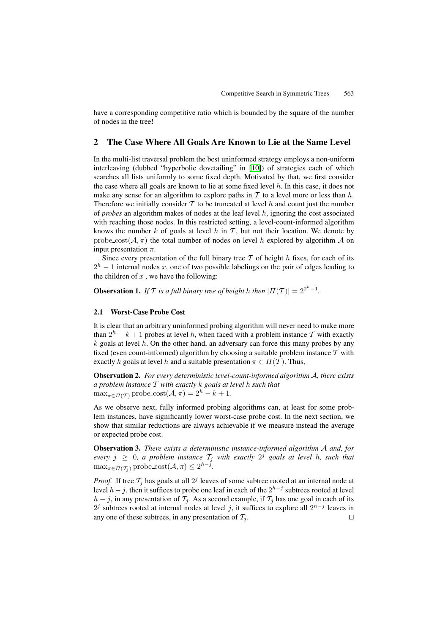have a corresponding competitive ratio which is bounded by the square of the number of nodes in the tree!

## **2 The Case Where All Goals Are Known to Lie at the Same Level**

In the multi-list traversal problem the best uninformed strategy employs a non-uniform interleaving (dubbed "hyperbolic dovetailing" in [\[10\]](#page-10-6)) of strategies each of which searches all lists uniformly to some fixed depth. Motivated by that, we first consider the case where all goals are known to lie at some fixed level  $h$ . In this case, it does not make any sense for an algorithm to explore paths in  $T$  to a level more or less than h. Therefore we initially consider  $T$  to be truncated at level h and count just the number of *probes* an algorithm makes of nodes at the leaf level h, ignoring the cost associated with reaching those nodes. In this restricted setting, a level-count-informed algorithm knows the number k of goals at level h in  $T$ , but not their location. We denote by probe  $\text{cost}(\mathcal{A}, \pi)$  the total number of nodes on level h explored by algorithm  $\mathcal A$  on input presentation  $\pi$ .

Since every presentation of the full binary tree  $T$  of height  $h$  fixes, for each of its  $2<sup>h</sup> - 1$  internal nodes x, one of two possible labelings on the pair of edges leading to the children of  $x$ , we have the following:

<span id="page-3-1"></span>**Observation 1.** *If*  $T$  *is a full binary tree of height h then*  $|T(T)| = 2^{2^h - 1}$ *.* 

### **2.1 Worst-Case Probe Cost**

It is clear that an arbitrary uninformed probing algorithm will never need to make more than  $2^h - k + 1$  probes at level h, when faced with a problem instance T with exactly  $k$  goals at level h. On the other hand, an adversary can force this many probes by any fixed (even count-informed) algorithm by choosing a suitable problem instance  $T$  with exactly k goals at level h and a suitable presentation  $\pi \in \Pi(\mathcal{T})$ . Thus,

**Observation 2.** *For every deterministic level-count-informed algorithm* A*, there exists a problem instance* T *with exactly* k *goals at level* h *such that*  $\max_{\pi \in \Pi(\mathcal{T})}$  probe cost $(\mathcal{A}, \pi) = 2^h - k + 1$ .

As we observe next, fully informed probing algorithms can, at least for some problem instances, have significantly lower worst-case probe cost. In the next section, we show that similar reductions are always achievable if we measure instead the average or expected probe cost.

<span id="page-3-0"></span>**Observation 3.** *There exists a deterministic instance-informed algorithm* A *and, for every*  $j \geq 0$ , *a problem instance*  $T_j$  *with exactly*  $2^j$  *goals at level* h, *such that*  $\max_{\pi \in \Pi(\mathcal{T}_i)} \text{probe-cost}(\mathcal{A}, \pi) \leq 2^{h-j}.$ 

*Proof.* If tree  $\mathcal{T}_i$  has goals at all  $2^j$  leaves of some subtree rooted at an internal node at level  $h - j$ , then it suffices to probe one leaf in each of the  $2^{h-j}$  subtrees rooted at level  $h - j$ , in any presentation of  $\mathcal{T}_i$ . As a second example, if  $\mathcal{T}_i$  has one goal in each of its  $2<sup>j</sup>$  subtrees rooted at internal nodes at level j, it suffices to explore all  $2<sup>h-j</sup>$  leaves in any one of these subtrees, in any presentation of  $\mathcal{T}_i$ .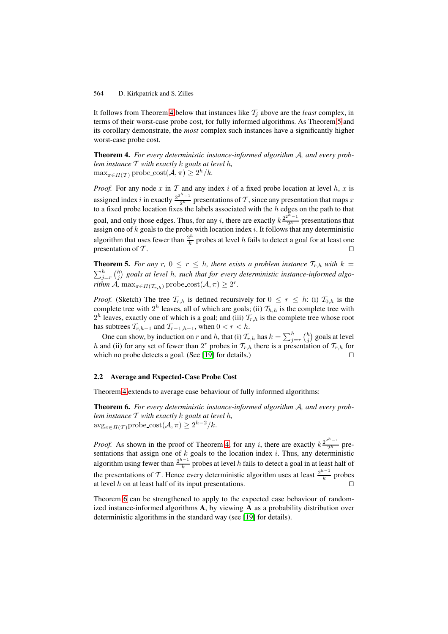It follows from Theorem [4](#page-4-0) below that instances like  $\mathcal{T}_j$  above are the *least* complex, in terms of their worst-case probe cost, for fully informed algorithms. As Theorem [5](#page-4-1) and its corollary demonstrate, the *most* complex such instances have a significantly higher worst-case probe cost.

<span id="page-4-0"></span>**Theorem 4.** *For every deterministic instance-informed algorithm* A*, and every problem instance* T *with exactly* k *goals at level* h*,*  $\max_{\pi \in \Pi(\mathcal{T})}$  probe  $\text{cost}(\mathcal{A}, \pi) \geq 2^h/k$ .

*Proof.* For any node  $x$  in  $\mathcal T$  and any index  $i$  of a fixed probe location at level  $h$ ,  $x$  is assigned index i in exactly  $\frac{2^{2h}-1}{2h}$  presentations of T, since any presentation that maps x to a fixed probe location fixes the labels associated with the  $h$  edges on the path to that goal, and only those edges. Thus, for any i, there are exactly  $k \frac{2^{2^{h}-1}}{2^h}$  presentations that assign one of k goals to the probe with location index i. It follows that any deterministic algorithm that uses fewer than  $\frac{2^h}{k}$  probes at level h fails to detect a goal for at least one presentation of  $T$ .

<span id="page-4-1"></span>**Theorem 5.** *For any*  $r$ ,  $0 \le r \le h$ , there exists a problem instance  $T_{r,h}$  with  $k = \sum_{j=r}^{h} {h \choose j}$  goals at level h, such that for every deterministic instance-informed algo*rithm*  $\mathcal{A}$ ,  $\max_{\pi \in \Pi(\mathcal{T}_{r,h})}$  probe\_cost $(\mathcal{A}, \pi) \geq 2^r$ .

*Proof.* (Sketch) The tree  $\mathcal{T}_{r,h}$  is defined recursively for  $0 \leq r \leq h$ : (i)  $\mathcal{T}_{0,h}$  is the complete tree with  $2^h$  leaves, all of which are goals; (ii)  $\mathcal{T}_{h,h}$  is the complete tree with  $2<sup>h</sup>$  leaves, exactly one of which is a goal; and (iii)  $T<sub>r,h</sub>$  is the complete tree whose root has subtrees  $T_{r,h-1}$  and  $T_{r-1,h-1}$ , when  $0 < r < h$ .

One can show, by induction on r and h, that (i)  $\mathcal{T}_{r,h}$  has  $k = \sum_{j=r}^{h} {h \choose j}$  goals at level h and (ii) for any set of fewer than  $2<sup>r</sup>$  probes in  $T_{r,h}$  there is a presentation of  $T_{r,h}$  for which no probe detects a goal. (See  $[19]$  for details.)

#### <span id="page-4-4"></span>**2.2 Average and Expected-Case Probe Cost**

<span id="page-4-2"></span>Theorem [4](#page-4-0) extends to average case behaviour of fully informed algorithms:

**Theorem 6.** *For every deterministic instance-informed algorithm* A*, and every problem instance* T *with exactly* k *goals at level* h*,*  $\arg_{\pi \in \Pi(\mathcal{T})}$ probe\_cost $(\mathcal{A}, \pi) \geq 2^{h-2}/k$ .

*Proof.* As shown in the proof of Theorem [4,](#page-4-0) for any i, there are exactly  $k \frac{2^{2^{h}-1}}{2^h}$  presentations that assign one of  $k$  goals to the location index  $i$ . Thus, any deterministic algorithm using fewer than  $\frac{2^{h-1}}{k}$  probes at level h fails to detect a goal in at least half of the presentations of T. Hence every deterministic algorithm uses at least  $\frac{2^{h-1}}{k}$  probes at level  $h$  on at least half of its input presentations.

<span id="page-4-3"></span>Theorem [6](#page-4-2) can be strengthened to apply to the expected case behaviour of randomized instance-informed algorithms **A**, by viewing A as a probability distribution over deterministic algorithms in the standard way (see [\[19\]](#page-10-9) for details).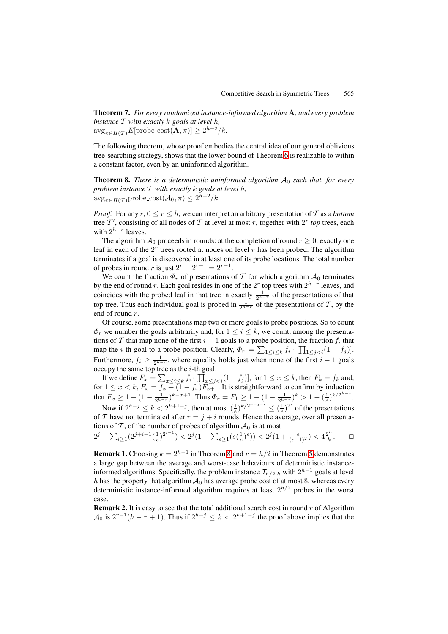**Theorem 7.** *For every randomized instance-informed algorithm* A*, and every problem instance* T *with exactly* k *goals at level* h*,*  $\arg_{\pi \in \Pi(\mathcal{T})} E[\text{probe\_cost}(\mathbf{A}, \pi)] \geq 2^{h-2}/k.$ 

The following theorem, whose proof embodies the central idea of our general oblivious tree-searching strategy, shows that the lower bound of Theorem [6](#page-4-2) is realizable to within a constant factor, even by an uninformed algorithm.

<span id="page-5-0"></span>**Theorem 8.** *There is a deterministic uninformed algorithm*  $A_0$  *such that, for every problem instance* T *with exactly* k *goals at level* h*,*  $\arg_{\pi \in \Pi(\mathcal{T})}$ probe\_cost $(\mathcal{A}_0, \pi) \leq 2^{h+2}/k$ .

*Proof.* For any  $r, 0 \le r \le h$ , we can interpret an arbitrary presentation of T as a *bottom* tree  $T'$ , consisting of all nodes of T at level at most r, together with  $2^r$  *top* trees, each with  $2^{h-r}$  leaves.

The algorithm  $A_0$  proceeds in rounds: at the completion of round  $r \geq 0$ , exactly one leaf in each of the  $2<sup>r</sup>$  trees rooted at nodes on level r has been probed. The algorithm terminates if a goal is discovered in at least one of its probe locations. The total number of probes in round r is just  $2^r - 2^{r-1} = 2^{r-1}$ .

We count the fraction  $\Phi_r$  of presentations of T for which algorithm  $\mathcal{A}_0$  terminates by the end of round r. Each goal resides in one of the 2<sup>r</sup> top trees with  $2^{h-r}$  leaves, and coincides with the probed leaf in that tree in exactly  $\frac{1}{2^{h-r}}$  of the presentations of that top tree. Thus each individual goal is probed in  $\frac{1}{2^{h-r}}$  of the presentations of T, by the end of round r.

Of course, some presentations map two or more goals to probe positions. So to count  $\Phi_r$  we number the goals arbitrarily and, for  $1 \leq i \leq k$ , we count, among the presentations of T that map none of the first  $i - 1$  goals to a probe position, the fraction  $f_i$  that map the *i*-th goal to a probe position. Clearly,  $\Phi_r = \sum_{1 \leq i \leq k} f_i \cdot [\prod_{1 \leq j < i} (1 - f_j)].$ Furthermore,  $f_i \ge \frac{1}{2^{h-r}}$ , where equality holds just when none of the first  $i-1$  goals occupy the same top tree as the  $i$ -th goal.

If we define  $F_x = \sum_{x \le i \le k} f_i \cdot \prod_{x \le j < i} (1 - f_j)$ , for  $1 \le x \le k$ , then  $F_k = f_k$  and, for  $1 \leq x < k$ ,  $F_x = f_x + (1 - f_x)F_{x+1}$ . It is straightforward to confirm by induction that  $F_x \ge 1 - (1 - \frac{1}{2^{h-r}})^{k-x+1}$ . Thus  $\Phi_r = F_1 \ge 1 - (1 - \frac{1}{2^{h-r}})^k > 1 - (\frac{1}{e})^{k/2^{h-r}}$ .

Now if  $2^{h-j} \le k < 2^{h+1-j}$ , then at most  $(\frac{1}{e})^{k/2^{h-j-i}} \le (\frac{1}{e})^{2^i}$  of the presentations of T have not terminated after  $r = j + i$  rounds. Hence the average, over all presentations of T, of the number of probes of algorithm  $A_0$  is at most

$$
2^{j} + \sum_{i \ge 1} (2^{j+i-1} \left(\frac{1}{e}\right)^{2^{i-1}}) < 2^{j} \left(1 + \sum_{s \ge 1} (s(\frac{1}{e})^s)\right) < 2^{j} \left(1 + \frac{e}{(e-1)^2}\right) < 4^{\frac{2^h}{k}}. \qquad \Box
$$

**Remark 1.** Choosing  $k = 2^{h-1}$  in Theorem [8](#page-5-0) and  $r = h/2$  in Theorem [5](#page-4-1) demonstrates a large gap between the average and worst-case behaviours of deterministic instanceinformed algorithms. Specifically, the problem instance  $\mathcal{T}_{h/2,h}$  with  $2^{h-1}$  goals at level h has the property that algorithm  $A_0$  has average probe cost of at most 8, whereas every deterministic instance-informed algorithm requires at least  $2^{h/2}$  probes in the worst case.

**Remark 2.** It is easy to see that the total additional search cost in round  $r$  of Algorithm  $\mathcal{A}_0$  is  $2^{r-1}(h-r+1)$ . Thus if  $2^{h-j} \leq k < 2^{h+1-j}$  the proof above implies that the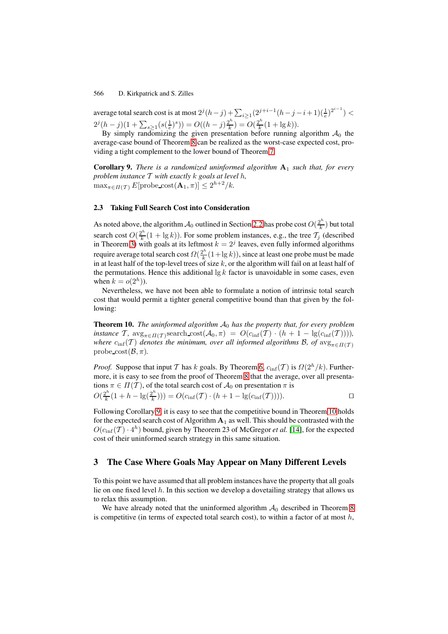average total search cost is at most  $2^{j}(h-j) + \sum_{i \geq 1} (2^{j+i-1}(h-j-i+1)(\frac{1}{e})^{2^{i-1}}) <$  $2^{j}(h-j)(1+\sum_{s\geq 1}(s(\frac{1}{e})^{s}))=O((h-j)\frac{2^{h}}{k})=O(\frac{2^{h}}{k}(1+\lg k)).$ 

By simply randomizing the given presentation before running algorithm  $A_0$  the average-case bound of Theorem [8](#page-5-0) can be realized as the worst-case expected cost, providing a tight complement to the lower bound of Theorem [7:](#page-4-3)

<span id="page-6-0"></span>**Corollary 9.** *There is a randomized uninformed algorithm*  $A_1$  *such that, for every problem instance* T *with exactly* k *goals at level* h*,*  $\max_{\pi \in \Pi(\mathcal{T})} E[\text{probe\_cost}(\mathbf{A}_1, \pi)] \leq 2^{h+2}/k.$ 

### **2.3 Taking Full Search Cost into Consideration**

As noted above, the algorithm  $A_0$  outlined in Section [2.2](#page-4-4) has probe cost  $O(\frac{2^h}{k})$  but total search cost  $O(\frac{2^h}{k}(1 + \lg k))$ . For some problem instances, e.g., the tree  $\mathcal{T}_j$  (described in Theorem [3\)](#page-3-0) with goals at its leftmost  $k = 2<sup>j</sup>$  leaves, even fully informed algorithms require average total search cost  $\Omega(\frac{2^h}{k}(1+\lg k))$ , since at least one probe must be made in at least half of the top-level trees of size k, or the algorithm will fail on at least half of the permutations. Hence this additional  $\lg k$  factor is unavoidable in some cases, even when  $k = o(2<sup>h</sup>)$ ).

Nevertheless, we have not been able to formulate a notion of intrinsic total search cost that would permit a tighter general competitive bound than that given by the following:

<span id="page-6-1"></span>**Theorem 10.** *The uninformed algorithm*  $A_0$  *has the property that, for every problem instance*  $\mathcal{T}$ *,*  $\mathrm{avg}_{\pi \in \Pi(\mathcal{T})}$ search  $\mathrm{cost}(\mathcal{A}_0, \pi) = O(c_{\inf}(\mathcal{T}) \cdot (h + 1 - \mathrm{lg}(c_{\inf}(\mathcal{T}))),$ *where*  $c_{\text{inf}}(T)$  *denotes the minimum, over all informed algorithms B, of*  $\arg_{\pi \in \Pi(T)}$ probe  $\text{cost}(\mathcal{B}, \pi)$ .

*Proof.* Suppose that input T has k goals. By Theorem [6,](#page-4-2)  $c_{\text{inf}}(T)$  is  $\Omega(2^h/k)$ . Furthermore, it is easy to see from the proof of Theorem [8](#page-5-0) that the average, over all presentations  $\pi \in \Pi(\mathcal{T})$ , of the total search cost of  $\mathcal{A}_0$  on presentation  $\pi$  is  $O(\frac{2^h}{k}(1+h-\lg(\frac{2^h}{k})))=O(c_{\inf}(T)\cdot(h+1-\lg(c_{\inf}(T))))$ .

Following Corollary [9,](#page-6-0) it is easy to see that the competitive bound in Theorem [10](#page-6-1) holds for the expected search cost of Algorithm  $A_1$  as well. This should be contrasted with the  $O(c_{\text{inf}}(T) \cdot 4^h)$  bound, given by Theorem 23 of McGregor *et al.* [\[14\]](#page-10-7), for the expected cost of their uninformed search strategy in this same situation.

## **3 The Case Where Goals May Appear on Many Different Levels**

To this point we have assumed that all problem instances have the property that all goals lie on one fixed level  $h$ . In this section we develop a dovetailing strategy that allows us to relax this assumption.

We have already noted that the uninformed algorithm  $A_0$  described in Theorem [8](#page-5-0) is competitive (in terms of expected total search cost), to within a factor of at most  $h$ ,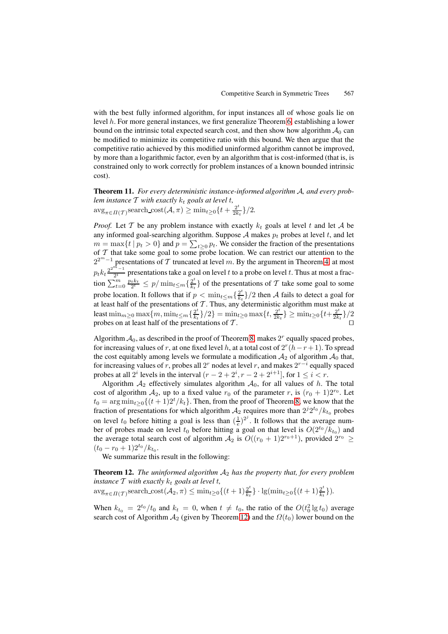with the best fully informed algorithm, for input instances all of whose goals lie on level h. For more general instances, we first generalize Theorem [6,](#page-4-2) establishing a lower bound on the intrinsic total expected search cost, and then show how algorithm  $A_0$  can be modified to minimize its competitive ratio with this bound. We then argue that the competitive ratio achieved by this modified uninformed algorithm cannot be improved, by more than a logarithmic factor, even by an algorithm that is cost-informed (that is, is constrained only to work correctly for problem instances of a known bounded intrinsic cost).

<span id="page-7-1"></span>**Theorem 11.** *For every deterministic instance-informed algorithm* A*, and every problem instance* T *with exactly* k<sup>t</sup> *goals at level* t*,*  $\arg_{\pi \in \Pi(\mathcal{T})} \text{search\_cost}(\mathcal{A}, \pi) \ge \min_{t \ge 0} \{t + \frac{2^t}{2k_t}\}/2.$ 

*Proof.* Let T be any problem instance with exactly  $k_t$  goals at level t and let A be any informed goal-searching algorithm. Suppose  $A$  makes  $p_t$  probes at level  $t$ , and let  $m = \max\{t \mid p_t > 0\}$  and  $p = \sum_{t \geq 0} p_t$ . We consider the fraction of the presentations of  $T$  that take some goal to some probe location. We can restrict our attention to the  $2^{2^m-1}$  presentations of T truncated at level m. By the argument in Theorem [4,](#page-4-0) at most  $p_t k_t \frac{2^{2^{n-1}}}{2^t}$  presentations take a goal on level t to a probe on level t. Thus at most a fraction  $\sum_{t=0}^{m} \frac{p_t k_t}{2^t} \le p / \min_{t \le m} {\frac{2^t}{k_t}}$  of the presentations of T take some goal to some probe location. It follows that if  $p < \min_{t \le m} {\frac{2^t}{k_t}}/2$  then A fails to detect a goal for at least half of the presentations of  $\mathcal T$ . Thus, any deterministic algorithm must make at least  $\min_{m\geq 0} \max\{m, \min_{t\leq m}\{\frac{2^t}{k_t}\}/2\} = \min_{t\geq 0} \max\{t, \frac{2^t}{2k_t}\} \geq \min_{t\geq 0} \{t + \frac{2^t}{2k_t}\}/2$ probes on at least half of the presentations of  $T$ .

Algorithm  $A_0$ , as described in the proof of Theorem [8,](#page-5-0) makes  $2<sup>r</sup>$  equally spaced probes, for increasing values of r, at one fixed level h, at a total cost of  $2^r(h-r+1)$ . To spread the cost equitably among levels we formulate a modification  $A_2$  of algorithm  $A_0$  that, for increasing values of r, probes all 2<sup>r</sup> nodes at level r, and makes  $2^{r-i}$  equally spaced probes at all 2<sup>*i*</sup> levels in the interval  $(r - 2 + 2^i, r - 2 + 2^{i+1}]$ , for  $1 \le i < r$ .

Algorithm  $A_2$  effectively simulates algorithm  $A_0$ , for all values of h. The total cost of algorithm  $A_2$ , up to a fixed value  $r_0$  of the parameter r, is  $(r_0 + 1)2^{r_0}$ . Let  $t_0 = \arg \min_{t \geq 0} \{ (t+1)2^t/k_t \}.$  Then, from the proof of Theorem [8,](#page-5-0) we know that the fraction of presentations for which algorithm  $A_2$  requires more than  $2^{j}2^{t_0}/k_{t_0}$  probes on level  $t_0$  before hitting a goal is less than  $(\frac{1}{e})^{2^j}$ . It follows that the average number of probes made on level  $t_0$  before hitting a goal on that level is  $O(2^{t_0}/k_{t_0})$  and the average total search cost of algorithm  $A_2$  is  $O((r_0 + 1)2^{r_0+1})$ , provided  $2^{r_0} \ge$  $(t_0 - r_0 + 1)2^{t_0}/k_{t_0}.$ 

<span id="page-7-0"></span>We summarize this result in the following:

**Theorem 12.** *The uninformed algorithm* A<sup>2</sup> *has the property that, for every problem instance*  $T$  *with exactly*  $k_t$  *goals at level t,* 

 $\arg_{\pi \in \Pi(\mathcal{T})} \text{search\_cost}(\mathcal{A}_2, \pi) \le \min_{t \ge 0} \{ (t+1) \frac{2^t}{k_t} \} \cdot \lg(\min_{t \ge 0} \{ (t+1) \frac{2^t}{k_t} \}).$ 

When  $k_{t_0} = 2^{t_0}/t_0$  and  $k_t = 0$ , when  $t \neq t_0$ , the ratio of the  $O(t_0^2 \lg t_0)$  average search cost of Algorithm  $A_2$  (given by Theorem [12\)](#page-7-0) and the  $\Omega(t_0)$  lower bound on the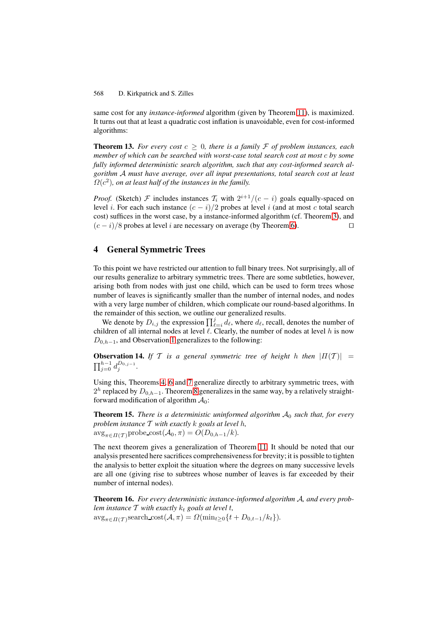same cost for any *instance-informed* algorithm (given by Theorem [11\)](#page-7-1), is maximized. It turns out that at least a quadratic cost inflation is unavoidable, even for cost-informed algorithms:

<span id="page-8-0"></span>**Theorem 13.** For every cost  $c \geq 0$ , there is a family F of problem instances, each *member of which can be searched with worst-case total search cost at most c by some fully informed deterministic search algorithm, such that any cost-informed search algorithm* A *must have average, over all input presentations, total search cost at least*  $\Omega(c^2)$ , on at least half of the instances in the family.

*Proof.* (Sketch) F includes instances  $T_i$  with  $2^{i+1}/(c - i)$  goals equally-spaced on level i. For each such instance  $(c - i)/2$  probes at level i (and at most c total search cost) suffices in the worst case, by a instance-informed algorithm (cf. Theorem [3\)](#page-3-0), and  $(c - i)/8$  probes at level *i* are necessary on average (by Theorem [6\)](#page-4-2).

## **4 General Symmetric Trees**

To this point we have restricted our attention to full binary trees. Not surprisingly, all of our results generalize to arbitrary symmetric trees. There are some subtleties, however, arising both from nodes with just one child, which can be used to form trees whose number of leaves is significantly smaller than the number of internal nodes, and nodes with a very large number of children, which complicate our round-based algorithms. In the remainder of this section, we outline our generalized results.

We denote by  $D_{i,j}$  the expression  $\prod_{\ell=i}^j d_{\ell}$ , where  $d_{\ell}$ , recall, denotes the number of children of all internal nodes at level  $\ell$ . Clearly, the number of nodes at level h is now  $D_{0,h-1}$ , and Observation [1](#page-3-1) generalizes to the following:

**Observation 14.** *If*  $T$  *is a general symmetric tree of height* h *then*  $|T(T)| =$  $_{j=0}^{h-1} d_j^{D_{0,j-1}}.$ 

Using this, Theorems [4,](#page-4-0) [6](#page-4-2) and [7](#page-4-3) generalize directly to arbitrary symmetric trees, with  $2<sup>h</sup>$  replaced by  $D_{0,h-1}$ . Theorem [8](#page-5-0) generalizes in the same way, by a relatively straightforward modification of algorithm  $A_0$ :

**Theorem 15.** *There is a deterministic uninformed algorithm*  $A_0$  *such that, for every problem instance* T *with exactly* k *goals at level* h*,*  $\arg_{\pi \in \Pi(\mathcal{T})}$ probe\_cost $(\mathcal{A}_0, \pi) = O(D_{0,h-1}/k)$ .

The next theorem gives a generalization of Theorem [11.](#page-7-1) It should be noted that our analysis presented here sacrifices comprehensiveness for brevity; it is possible to tighten the analysis to better exploit the situation where the degrees on many successive levels are all one (giving rise to subtrees whose number of leaves is far exceeded by their number of internal nodes).

<span id="page-8-1"></span>**Theorem 16.** *For every deterministic instance-informed algorithm* A*, and every problem instance*  $T$  *with exactly*  $k_t$  *goals at level t,*  $\arg_{\pi \in \Pi(\mathcal{T})} \text{search\_cost}(\mathcal{A}, \pi) = \Omega(\min_{t \geq 0} \{t + D_{0,t-1}/k_t\}).$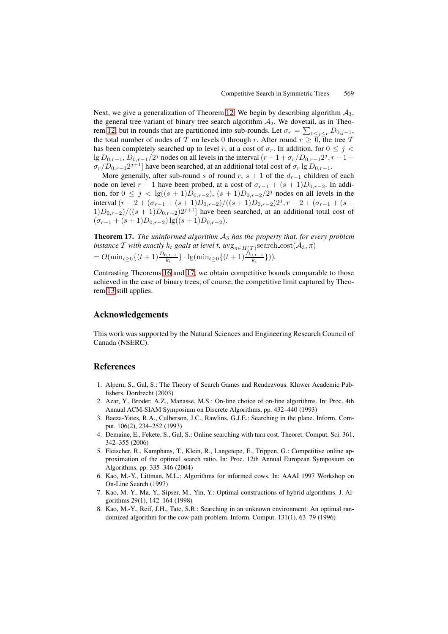Next, we give a generalization of Theorem [12.](#page-7-0) We begin by describing algorithm  $\mathcal{A}_3$ , the general tree variant of binary tree search algorithm  $A_2$ . We dovetail, as in Theo-rem [12,](#page-7-0) but in rounds that are partitioned into sub-rounds. Let  $\sigma_r = \sum_{0 \leq j \leq r} D_{0,j-1}$ , the total number of nodes of T on levels 0 through r. After round  $r \geq 0$ , the tree T has been completely searched up to level r, at a cost of  $\sigma_r$ . In addition, for  $0 \leq j <$ lg  $D_{0,r-1}$ ,  $D_{0,r-1}/2^j$  nodes on all levels in the interval  $(r-1+\sigma_r/D_{0,r-1}2^j, r-1+\sigma_r/D_{0,r-1}2^j)$  $\sigma_r/D_{0,r-1}2^{j+1}$  have been searched, at an additional total cost of  $\sigma_r \lg D_{0,r-1}$ .

More generally, after sub-round s of round r, s + 1 of the  $d_{r-1}$  children of each node on level  $r - 1$  have been probed, at a cost of  $\sigma_{r-1} + (s + 1)D_{0,r-2}$ . In addition, for  $0 \le j < \lg((s+1)D_{0,r-2})$ ,  $(s+1)D_{0,r-2}/2^j$  nodes on all levels in the interval  $(r - 2 + (σ_{r-1} + (s + 1)D_{0,r-2})/((s + 1)D_{0,r-2})2<sup>j</sup>, r − 2 + (σ_{r-1} + (s + 1)D_{0,r-2})2<sup>j</sup>$  $1)D_{0,r-2}/((s + 1)D_{0,r-2})2^{j+1}$  have been searched, at an additional total cost of  $(\sigma_{r-1} + (s+1)D_{0,r-2}) \lg((s+1)D_{0,r-2}).$ 

<span id="page-9-9"></span>**Theorem 17.** *The uninformed algorithm* A<sup>3</sup> *has the property that, for every problem instance*  $\mathcal T$  *with exactly*  $k_t$  *goals at level*  $t$ *,*  $\arg_{\pi \in \Pi(\mathcal T)} \text{search\_cost}(\mathcal A_3, \pi)$  $= O(\min_{t \geq 0} \{(t+1) \frac{D_{0,t-1}}{k_t}\} \cdot \lg(\min_{t \geq 0} \{(t+1) \frac{D_{0,t-1}}{k_t}\})).$ 

Contrasting Theorems [16](#page-8-1) and [17,](#page-9-9) we obtain competitive bounds comparable to those achieved in the case of binary trees; of course, the competitive limit captured by Theorem [13](#page-8-0) still applies.

## **Acknowledgements**

This work was supported by the Natural Sciences and Engineering Research Council of Canada (NSERC).

## <span id="page-9-0"></span>**References**

- <span id="page-9-1"></span>1. Alpern, S., Gal, S.: The Theory of Search Games and Rendezvous. Kluwer Academic Publishers, Dordrecht (2003)
- <span id="page-9-6"></span>2. Azar, Y., Broder, A.Z., Manasse, M.S.: On-line choice of on-line algorithms. In: Proc. 4th Annual ACM-SIAM Symposium on Discrete Algorithms, pp. 432–440 (1993)
- <span id="page-9-4"></span>3. Baeza-Yates, R.A., Culberson, J.C., Rawlins, G.J.E.: Searching in the plane. Inform. Comput. 106(2), 234–252 (1993)
- <span id="page-9-2"></span>4. Demaine, E., Fekete, S., Gal, S.: Online searching with turn cost. Theoret. Comput. Sci. 361, 342–355 (2006)
- <span id="page-9-8"></span>5. Fleischer, R., Kamphans, T., Klein, R., Langetepe, E., Trippen, G.: Competitive online approximation of the optimal search ratio. In: Proc. 12th Annual European Symposium on Algorithms, pp. 335–346 (2004)
- <span id="page-9-3"></span>6. Kao, M.-Y., Littman, M.L.: Algorithms for informed cows. In: AAAI 1997 Workshop on On-Line Search (1997)
- <span id="page-9-7"></span>7. Kao, M.-Y., Ma, Y., Sipser, M., Yin, Y.: Optimal constructions of hybrid algorithms. J. Algorithms 29(1), 142–164 (1998)
- <span id="page-9-5"></span>8. Kao, M.-Y., Reif, J.H., Tate, S.R.: Searching in an unknown environment: An optimal randomized algorithm for the cow-path problem. Inform. Comput. 131(1), 63–79 (1996)